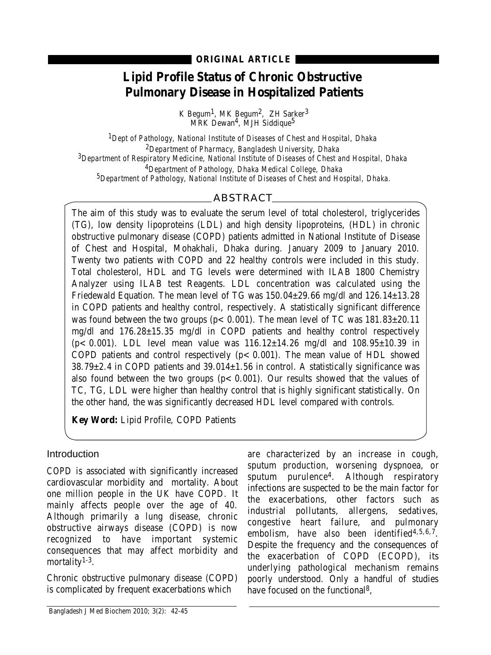**ORIGINAL ARTICLE**

# **Lipid Profile Status of Chronic Obstructive Pulmonary Disease in Hospitalized Patients**

K Begum<sup>1</sup>, MK Begum<sup>2</sup>, ZH Sarker<sup>3</sup>  $M\overline{k}$ K Dewan<sup>4</sup>, MJH Siddique<sup>5</sup>

*1Dept of Pathology, National Institute of Diseases of Chest and Hospital, Dhaka 2Department of Pharmacy, Bangladesh University, Dhaka 3Department of Respiratory Medicine, National Institute of Diseases of Chest and Hospital, Dhaka 4Department of Pathology, Dhaka Medical College, Dhaka 5Department of Pathology, National Institute of Diseases of Chest and Hospital, Dhaka.*

## ABSTRACT

The aim of this study was to evaluate the serum level of total cholesterol, triglycerides (TG), low density lipoproteins (LDL) and high density lipoproteins, (HDL) in chronic obstructive pulmonary disease (COPD) patients admitted in National Institute of Disease of Chest and Hospital, Mohakhali, Dhaka during. January 2009 to January 2010. Twenty two patients with COPD and 22 healthy controls were included in this study. Total cholesterol, HDL and TG levels were determined with ILAB 1800 Chemistry Analyzer using ILAB test Reagents. LDL concentration was calculated using the Friedewald Equation. The mean level of TG was 150.04±29.66 mg/dl and 126.14±13.28 in COPD patients and healthy control, respectively. A statistically significant difference was found between the two groups ( $p < 0.001$ ). The mean level of TC was  $181.83 \pm 20.11$ mg/dl and 176.28±15.35 mg/dl in COPD patients and healthy control respectively  $(p < 0.001)$ . LDL level mean value was  $116.12 \pm 14.26$  mg/dl and  $108.95 \pm 10.39$  in COPD patients and control respectively  $(p < 0.001)$ . The mean value of HDL showed 38.79±2.4 in COPD patients and 39.014±1.56 in control. A statistically significance was also found between the two groups  $(p < 0.001)$ . Our results showed that the values of TC, TG, LDL were higher than healthy control that is highly significant statistically. On the other hand, the was significantly decreased HDL level compared with controls.

**Key Word:** Lipid Profile, COPD Patients

### Introduction

COPD is associated with significantly increased cardiovascular morbidity and mortality. About one million people in the UK have COPD. It mainly affects people over the age of 40. Although primarily a lung disease, chronic obstructive airways disease (COPD) is now recognized to have important systemic consequences that may affect morbidity and mortality<sup>1-3</sup>.

Chronic obstructive pulmonary disease (COPD) is complicated by frequent exacerbations which

are characterized by an increase in cough, sputum production, worsening dyspnoea, or sputum purulence4. Although respiratory infections are suspected to be the main factor for the exacerbations, other factors such as industrial pollutants, allergens, sedatives, congestive heart failure, and pulmonary embolism, have also been identified $4,5,6,7$ . Despite the frequency and the consequences of the exacerbation of COPD (ECOPD), its underlying pathological mechanism remains poorly understood. Only a handful of studies have focused on the functional 8,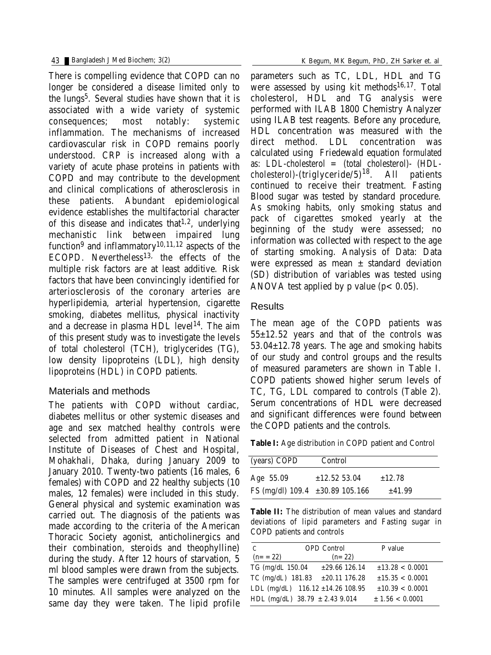There is compelling evidence that COPD can no longer be considered a disease limited only to the lungs<sup>5</sup>. Several studies have shown that it is associated with a wide variety of systemic consequences; most notably: systemic inflammation. The mechanisms of increased cardiovascular risk in COPD remains poorly understood. CRP is increased along with a variety of acute phase proteins in patients with COPD and may contribute to the development and clinical complications of atherosclerosis in these patients. Abundant epidemiological evidence establishes the multifactorial character of this disease and indicates that 1,2, underlying mechanistic link between impaired lung function<sup>9</sup> and inflammatory10,11,12 aspects of the ECOPD. Nevertheless $13$ , the effects of the multiple risk factors are at least additive. Risk factors that have been convincingly identified for arteriosclerosis of the coronary arteries are hyperlipidemia, arterial hypertension, cigarette smoking, diabetes mellitus, physical inactivity and a decrease in plasma HDL level<sup>14</sup>. The aim of this present study was to investigate the levels of total cholesterol (TCH), triglycerides (TG), low density lipoproteins (LDL), high density lipoproteins (HDL) in COPD patients.

#### Materials and methods

The patients with COPD without cardiac, diabetes mellitus or other systemic diseases and age and sex matched healthy controls were selected from admitted patient in National Institute of Diseases of Chest and Hospital, Mohakhali, Dhaka, during January 2009 to January 2010. Twenty-two patients (16 males, 6 females) with COPD and 22 healthy subjects (10 males, 12 females) were included in this study. General physical and systemic examination was carried out. The diagnosis of the patients was made according to the criteria of the American Thoracic Society agonist, anticholinergics and their combination, steroids and theophylline) during the study. After 12 hours of starvation, 5 ml blood samples were drawn from the subjects. The samples were centrifuged at 3500 rpm for 10 minutes. All samples were analyzed on the same day they were taken. The lipid profile

parameters such as TC, LDL, HDL and TG were assessed by using kit methods<sup>16,17</sup>. Total cholesterol, HDL and TG analysis were performed with ILAB 1800 Chemistry Analyzer using ILAB test reagents. Before any procedure, HDL concentration was measured with the direct method. LDL concentration was calculated using Friedewald equation formulated as: LDL-cholesterol = (total cholesterol)- (HDLcholesterol)-(triglyceride/5) All patients continued to receive their treatment. Fasting Blood sugar was tested by standard procedure. As smoking habits, only smoking status and pack of cigarettes smoked yearly at the beginning of the study were assessed; no information was collected with respect to the age of starting smoking. Analysis of Data: Data were expressed as mean  $\pm$  standard deviation (SD) distribution of variables was tested using ANOVA test applied by p value ( $p < 0.05$ ).

#### **Results**

The mean age of the COPD patients was 55±12.52 years and that of the controls was 53.04±12.78 years. The age and smoking habits of our study and control groups and the results of measured parameters are shown in Table I. COPD patients showed higher serum levels of TC, TG, LDL compared to controls (Table 2). Serum concentrations of HDL were decreased and significant differences were found between the COPD patients and the controls.

**Table I:** Age distribution in COPD patient and Control

| (years) COPD                         | <b>Control</b>    |             |
|--------------------------------------|-------------------|-------------|
| Age 55.09                            | $\pm 12.52$ 53.04 | $\pm 12.78$ |
| FS (mg/dl) $109.4 \pm 30.89 105.166$ |                   | ±41.99      |

**Table II:** The distribution of mean values and standard deviations of lipid parameters and Fasting sugar in COPD patients and controls

| C                   | <b>OPD</b> Control |                                    | P value         |  |
|---------------------|--------------------|------------------------------------|-----------------|--|
| $(n = 22)$          |                    | $(n=22)$                           |                 |  |
| TG (mg/dL 150.04)   |                    | $\pm 29.66$ 126.14                 | ±13.28 < 0.0001 |  |
| $TC$ (mg/dL) 181.83 |                    | $\pm 20.11$ 176.28                 | ±15.35 < 0.0001 |  |
|                     |                    | LDL $(mg/dL)$ 116.12 ±14.26 108.95 | ±10.39 < 0.0001 |  |
|                     |                    | HDL (mg/dL) $38.79 \pm 2.43$ 9.014 | ± 1.56 < 0.0001 |  |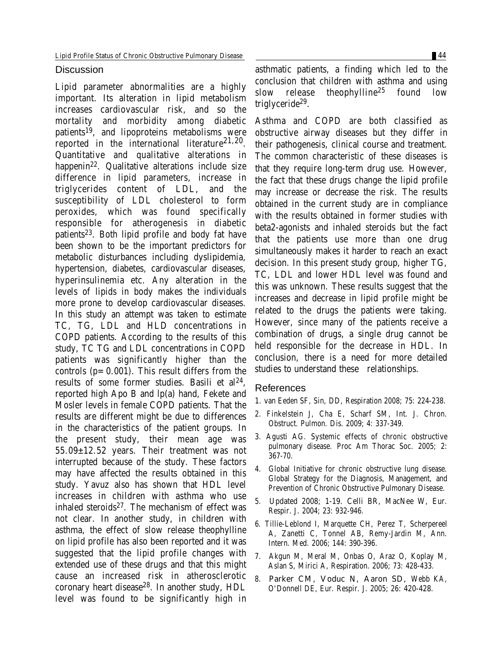#### **Discussion**

Lipid parameter abnormalities are a highly important. Its alteration in lipid metabolism increases cardiovascular risk, and so the mortality and morbidity among diabetic patients<sup>19</sup>, and lipoproteins metabolisms were reported in the international literature<sup>21,20</sup>. Quantitative and qualitative alterations in happenin22. Qualitative alterations include size difference in lipid parameters, increase in triglycerides content of LDL, and the susceptibility of LDL cholesterol to form peroxides, which was found specifically responsible for atherogenesis in diabetic patients<sup>23</sup>. Both lipid profile and body fat have been shown to be the important predictors for metabolic disturbances including dyslipidemia, hypertension, diabetes, cardiovascular diseases, hyperinsulinemia etc. Any alteration in the levels of lipids in body makes the individuals more prone to develop cardiovascular diseases. In this study an attempt was taken to estimate TC, TG, LDL and HLD concentrations in COPD patients. According to the results of this study, TC TG and LDL concentrations in COPD patients was significantly higher than the controls  $(p=0.001)$ . This result differs from the results of some former studies. Basili et al 24, reported high Apo B and lp(a) hand, Fekete and Mosler levels in female COPD patients. That the results are different might be due to differences in the characteristics of the patient groups. In the present study, their mean age was 55.09±12.52 years. Their treatment was not interrupted because of the study. These factors may have affected the results obtained in this study. Yavuz also has shown that HDL level increases in children with asthma who use inhaled steroids $27$ . The mechanism of effect was not clear. In another study, in children with asthma, the effect of slow release theophylline on lipid profile has also been reported and it was suggested that the lipid profile changes with extended use of these drugs and that this might cause an increased risk in atherosclerotic coronary heart disease28. In another study, HDL level was found to be significantly high in

Asthma and COPD are both classified as obstructive airway diseases but they differ in their pathogenesis, clinical course and treatment. The common characteristic of these diseases is that they require long-term drug use. However, the fact that these drugs change the lipid profile may increase or decrease the risk. The results obtained in the current study are in compliance with the results obtained in former studies with beta2-agonists and inhaled steroids but the fact that the patients use more than one drug simultaneously makes it harder to reach an exact decision. In this present study group, higher TG, TC, LDL and lower HDL level was found and this was unknown. These results suggest that the increases and decrease in lipid profile might be related to the drugs the patients were taking. However, since many of the patients receive a combination of drugs, a single drug cannot be held responsible for the decrease in HDL. In conclusion, there is a need for more detailed studies to understand these relationships.

slow release theophylline<sup>25</sup> found low

#### References

triglyceride29.

- 1. van Eeden SF, Sin, DD, Respiration 2008; 75: 224-238.
- 2. Finkelstein J, Cha E, Scharf SM, Int. J. Chron. Obstruct. Pulmon. Dis. 2009; 4: 337-349.
- 3. Agusti AG. Systemic effects of chronic obstructive pulmonary disease. Proc Am Thorac Soc. 2005; 2: 367-70.
- 4. Global Initiative for chronic obstructive lung disease. Global Strategy for the Diagnosis, Management, and Prevention of Chronic Obstructive Pulmonary Disease.
- 5. Updated 2008; 1-19. Celli BR, MacNee W, Eur. Respir. J. 2004; 23: 932-946.
- 6. Tillie-Leblond I, Marquette CH, Perez T, Scherpereel A, Zanetti C, Tonnel AB, Remy-Jardin M, Ann. Intern. Med. 2006; 144: 390-396.
- 7. Akgun M, Meral M, Onbas O, Araz O, Koplay M, Aslan S, Mirici A, Respiration. 2006; 73: 428-433.
- 8. Parker CM, Voduc N, Aaron SD, Webb KA, O'Donnell DE, Eur. Respir. J. 2005; 26: 420-428.